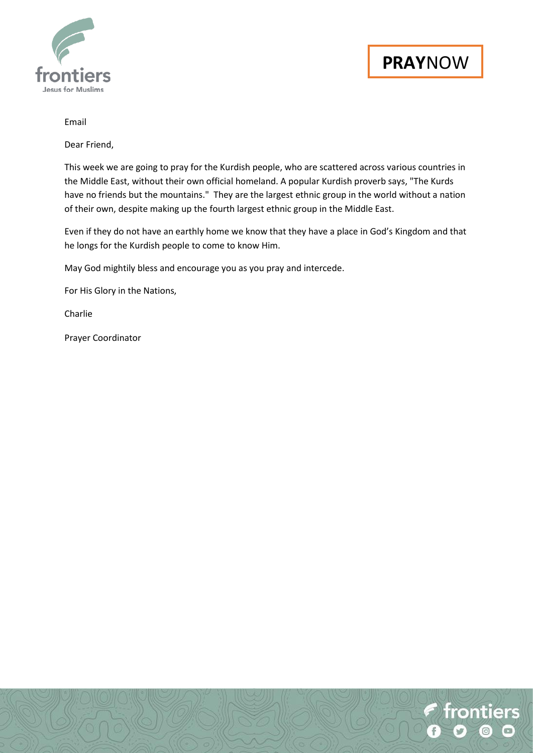

# Email

Dear Friend,

This week we are going to pray for the Kurdish people, who are scattered across various countries in the Middle East, without their own official homeland. A popular Kurdish proverb says, "The Kurds have no friends but the mountains." They are the largest ethnic group in the world without a nation of their own, despite making up the fourth largest ethnic group in the Middle East.

Even if they do not have an earthly home we know that they have a place in God's Kingdom and that he longs for the Kurdish people to come to know Him.

May God mightily bless and encourage you as you pray and intercede.

For His Glory in the Nations,

Charlie

Prayer Coordinator

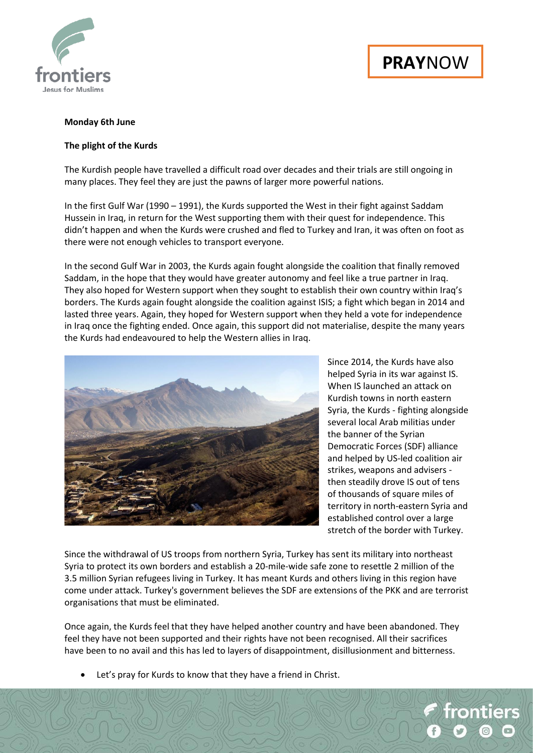

# **PRAY**NOW

# **Monday 6th June**

# **The plight of the Kurds**

The Kurdish people have travelled a difficult road over decades and their trials are still ongoing in many places. They feel they are just the pawns of larger more powerful nations.

In the first Gulf War (1990 – 1991), the Kurds supported the West in their fight against Saddam Hussein in Iraq, in return for the West supporting them with their quest for independence. This didn't happen and when the Kurds were crushed and fled to Turkey and Iran, it was often on foot as there were not enough vehicles to transport everyone.

In the second Gulf War in 2003, the Kurds again fought alongside the coalition that finally removed Saddam, in the hope that they would have greater autonomy and feel like a true partner in Iraq. They also hoped for Western support when they sought to establish their own country within Iraq's borders. The Kurds again fought alongside the coalition against ISIS; a fight which began in 2014 and lasted three years. Again, they hoped for Western support when they held a vote for independence in Iraq once the fighting ended. Once again, this support did not materialise, despite the many years the Kurds had endeavoured to help the Western allies in Iraq.



Since 2014, the Kurds have also helped Syria in its war against IS. When IS launched an attack on Kurdish towns in north eastern Syria, the Kurds - fighting alongside several local Arab militias under the banner of the Syrian Democratic Forces (SDF) alliance and helped by US-led coalition air strikes, weapons and advisers then steadily drove IS out of tens of thousands of square miles of territory in north-eastern Syria and established control over a large stretch of the border with Turkey.

Since the withdrawal of US troops from northern Syria, Turkey has sent its military into northeast Syria to protect its own borders and establish a 20-mile-wide safe zone to resettle 2 million of the 3.5 million Syrian refugees living in Turkey. It has meant Kurds and others living in this region have come under attack. Turkey's government believes the SDF are extensions of the PKK and are terrorist organisations that must be eliminated.

Once again, the Kurds feel that they have helped another country and have been abandoned. They feel they have not been supported and their rights have not been recognised. All their sacrifices have been to no avail and this has led to layers of disappointment, disillusionment and bitterness.

Let's pray for Kurds to know that they have a friend in Christ.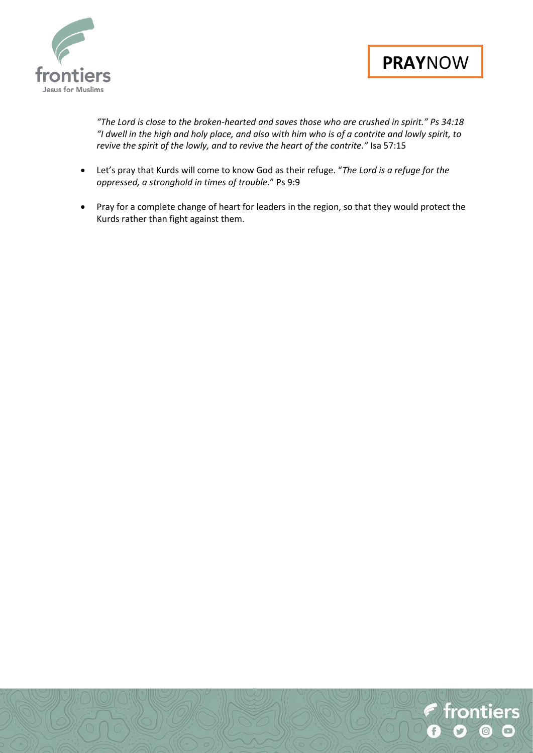



*"The Lord is close to the broken-hearted and saves those who are crushed in spirit." Ps 34:18 "I dwell in the high and holy place, and also with him who is of a contrite and lowly spirit, to revive the spirit of the lowly, and to revive the heart of the contrite."* Isa 57:15

- Let's pray that Kurds will come to know God as their refuge. "*The Lord is a refuge for the oppressed, a stronghold in times of trouble.*" Ps 9:9
- Pray for a complete change of heart for leaders in the region, so that they would protect the Kurds rather than fight against them.

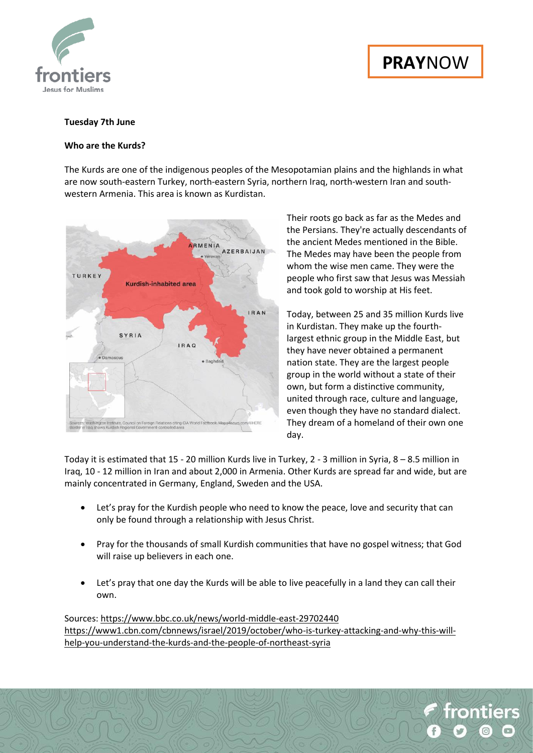

# **PRAY**NOW

# **Tuesday 7th June**

#### **Who are the Kurds?**

The Kurds are one of the indigenous peoples of the Mesopotamian plains and the highlands in what are now south-eastern Turkey, north-eastern Syria, northern Iraq, north-western Iran and southwestern Armenia. This area is known as Kurdistan.



Their roots go back as far as the Medes and the Persians. They're actually descendants of the ancient Medes mentioned in the Bible. The Medes may have been the people from whom the wise men came. They were the people who first saw that Jesus was Messiah and took gold to worship at His feet.

Today, between 25 and 35 million Kurds live in Kurdistan. They make up the fourthlargest ethnic group in the Middle East, but they have never obtained a permanent nation state. They are the largest people group in the world without a state of their own, but form a distinctive community, united through race, culture and language, even though they have no standard dialect. They dream of a homeland of their own one day.

Today it is estimated that 15 - 20 million Kurds live in Turkey, 2 - 3 million in Syria, 8 – 8.5 million in Iraq, 10 - 12 million in Iran and about 2,000 in Armenia. Other Kurds are spread far and wide, but are mainly concentrated in Germany, England, Sweden and the USA.

- Let's pray for the Kurdish people who need to know the peace, love and security that can only be found through a relationship with Jesus Christ.
- Pray for the thousands of small Kurdish communities that have no gospel witness; that God will raise up believers in each one.
- Let's pray that one day the Kurds will be able to live peacefully in a land they can call their own.

Sources:<https://www.bbc.co.uk/news/world-middle-east-29702440> [https://www1.cbn.com/cbnnews/israel/2019/october/who-is-turkey-attacking-and-why-this-will](https://www1.cbn.com/cbnnews/israel/2019/october/who-is-turkey-attacking-and-why-this-will-help-you-understand-the-kurds-and-the-people-of-northeast-syria)[help-you-understand-the-kurds-and-the-people-of-northeast-syria](https://www1.cbn.com/cbnnews/israel/2019/october/who-is-turkey-attacking-and-why-this-will-help-you-understand-the-kurds-and-the-people-of-northeast-syria)

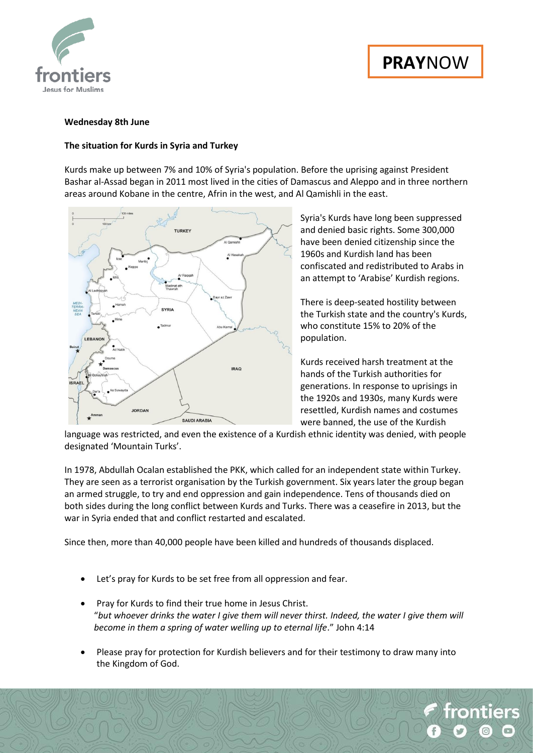



# **Wednesday 8th June**

#### **The situation for Kurds in Syria and Turkey**

Kurds make up between 7% and 10% of Syria's population. Before the uprising against President Bashar al-Assad began in 2011 most lived in the cities of Damascus and Aleppo and in three northern areas around Kobane in the centre, Afrin in the west, and Al Qamishli in the east.



Syria's Kurds have long been suppressed and denied basic rights. Some 300,000 have been denied citizenship since the 1960s and Kurdish land has been confiscated and redistributed to Arabs in an attempt to 'Arabise' Kurdish regions.

There is deep-seated hostility between the Turkish state and the country's Kurds, who constitute 15% to 20% of the population.

Kurds received harsh treatment at the hands of the Turkish authorities for generations. In response to uprisings in the 1920s and 1930s, many Kurds were resettled, Kurdish names and costumes were banned, the use of the Kurdish

language was restricted, and even the existence of a Kurdish ethnic identity was denied, with people designated 'Mountain Turks'.

In 1978, Abdullah Ocalan established the PKK, which called for an independent state within Turkey. They are seen as a terrorist organisation by the Turkish government. Six years later the group began an armed struggle, to try and end oppression and gain independence. Tens of thousands died on both sides during the long conflict between Kurds and Turks. There was a ceasefire in 2013, but the war in Syria ended that and conflict restarted and escalated.

Since then, more than 40,000 people have been killed and hundreds of thousands displaced.

- Let's pray for Kurds to be set free from all oppression and fear.
- Pray for Kurds to find their true home in Jesus Christ. "*but whoever drinks the water I give them will never thirst. Indeed, the water I give them will become in them a spring of water welling up to eternal life*." John 4:14
- Please pray for protection for Kurdish believers and for their testimony to draw many into the Kingdom of God.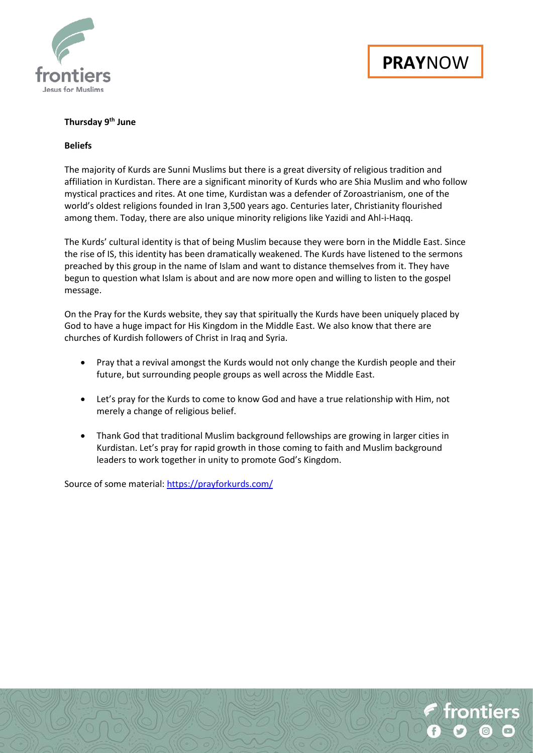

# **Thursday 9 th June**

# **Beliefs**

The majority of Kurds are Sunni Muslims but there is a great diversity of religious tradition and affiliation in Kurdistan. There are a significant minority of Kurds who are Shia Muslim and who follow mystical practices and rites. At one time, Kurdistan was a defender of Zoroastrianism, one of the world's oldest religions founded in Iran 3,500 years ago. Centuries later, Christianity flourished among them. Today, there are also unique minority religions like Yazidi and Ahl-i-Haqq.

The Kurds' cultural identity is that of being Muslim because they were born in the Middle East. Since the rise of IS, this identity has been dramatically weakened. The Kurds have listened to the sermons preached by this group in the name of Islam and want to distance themselves from it. They have begun to question what Islam is about and are now more open and willing to listen to the gospel message.

On the Pray for the Kurds website, they say that spiritually the Kurds have been uniquely placed by God to have a huge impact for His Kingdom in the Middle East. We also know that there are churches of Kurdish followers of Christ in Iraq and Syria.

- Pray that a revival amongst the Kurds would not only change the Kurdish people and their future, but surrounding people groups as well across the Middle East.
- Let's pray for the Kurds to come to know God and have a true relationship with Him, not merely a change of religious belief.
- Thank God that traditional Muslim background fellowships are growing in larger cities in Kurdistan. Let's pray for rapid growth in those coming to faith and Muslim background leaders to work together in unity to promote God's Kingdom.

Source of some material:<https://prayforkurds.com/>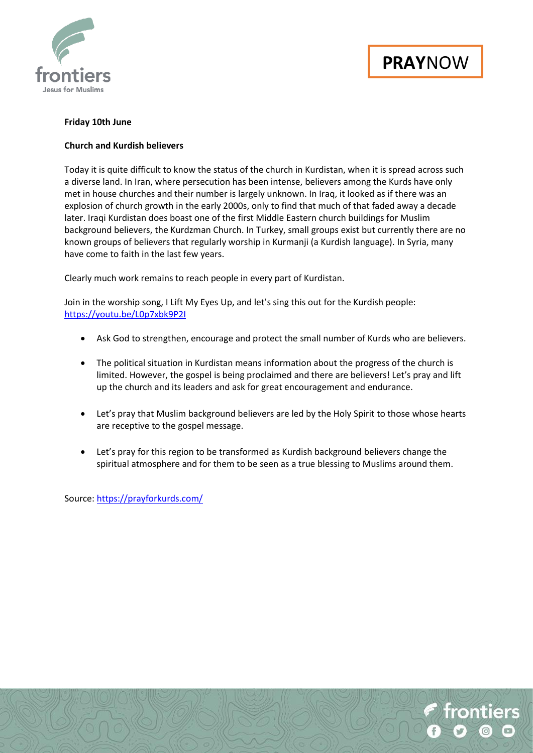

# **Friday 10th June**

# **Church and Kurdish believers**

Today it is quite difficult to know the status of the church in Kurdistan, when it is spread across such a diverse land. In Iran, where persecution has been intense, believers among the Kurds have only met in house churches and their number is largely unknown. In Iraq, it looked as if there was an explosion of church growth in the early 2000s, only to find that much of that faded away a decade later. Iraqi Kurdistan does boast one of the first Middle Eastern church buildings for Muslim background believers, the Kurdzman Church. In Turkey, small groups exist but currently there are no known groups of believers that regularly worship in Kurmanji (a Kurdish language). In Syria, many have come to faith in the last few years.

Clearly much work remains to reach people in every part of Kurdistan.

Join in the worship song, I Lift My Eyes Up, and let's sing this out for the Kurdish people: <https://youtu.be/L0p7xbk9P2I>

- Ask God to strengthen, encourage and protect the small number of Kurds who are believers.
- The political situation in Kurdistan means information about the progress of the church is limited. However, the gospel is being proclaimed and there are believers! Let's pray and lift up the church and its leaders and ask for great encouragement and endurance.
- Let's pray that Muslim background believers are led by the Holy Spirit to those whose hearts are receptive to the gospel message.
- Let's pray for this region to be transformed as Kurdish background believers change the spiritual atmosphere and for them to be seen as a true blessing to Muslims around them.

Source:<https://prayforkurds.com/>